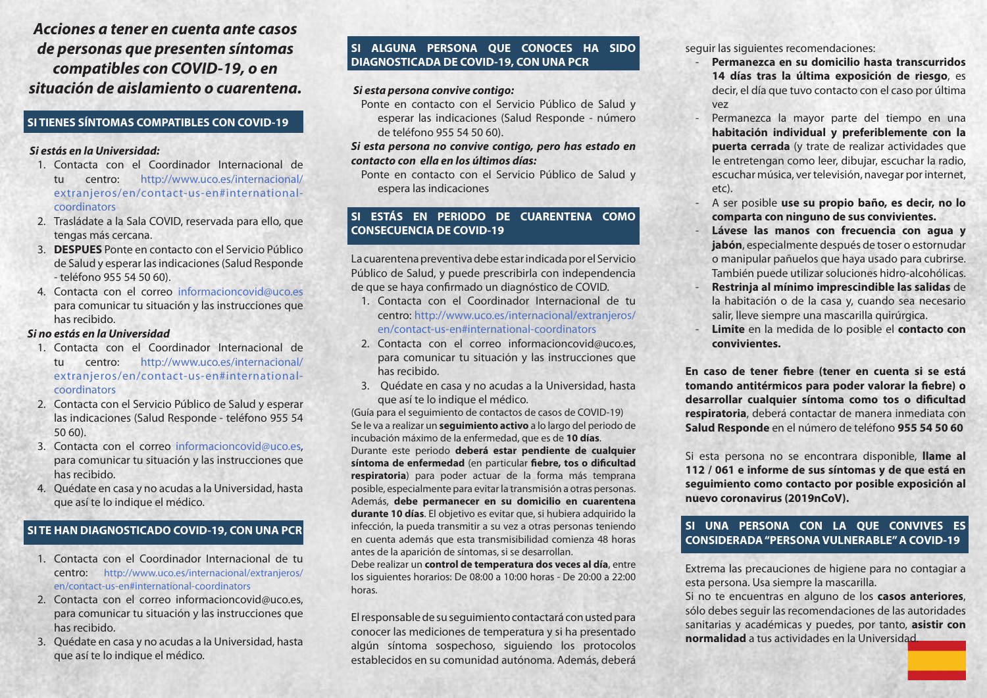*Acciones a tener en cuenta ante casos de personas que presenten síntomas compatibles con COVID-19, o en situación de aislamiento o cuarentena.*

# **SI TIENES SÍNTOMAS COMPATIBLES CON COVID-19**

## *Si estás en la Universidad:*

- 1. Contacta con el Coordinador Internacional de centro: http://www.uco.es/internacional/ extranjeros/en/contact-us-en#internationalcoordinators
- 2. Trasládate a la Sala COVID, reservada para ello, que tengas más cercana.
- 3. **DESPUES** Ponte en contacto con el Servicio Público de Salud y esperar las indicaciones (Salud Responde - teléfono 955 54 50 60).
- 4. Contacta con el correo informacioncovid@uco.es para comunicar tu situación y las instrucciones que has recibido.

# *Si no estás en la Universidad*

- 1. Contacta con el Coordinador Internacional de tu centro: http://www.uco.es/internacional/ extranjeros/en/contact-us-en#internationalcoordinators
- 2. Contacta con el Servicio Público de Salud y esperar las indicaciones (Salud Responde - teléfono 955 54 50 60).
- 3. Contacta con el correo informacioncovid@uco.es, para comunicar tu situación y las instrucciones que has recibido.
- 4. Quédate en casa y no acudas a la Universidad, hasta que así te lo indique el médico.

# **SI TE HAN DIAGNOSTICADO COVID-19, CON UNA PCR**

- 1. Contacta con el Coordinador Internacional de tu centro: http://www.uco.es/internacional/extranjeros/ en/contact-us-en#international-coordinators
- 2. Contacta con el correo informacioncovid@uco.es, para comunicar tu situación y las instrucciones que has recibido.
- 3. Quédate en casa y no acudas a la Universidad, hasta que así te lo indique el médico.

# **SI ALGUNA PERSONA QUE CONOCES HA SIDO DIAGNOSTICADA DE COVID-19, CON UNA PCR**

## *Si esta persona convive contigo:*

Ponte en contacto con el Servicio Público de Salud y esperar las indicaciones (Salud Responde - número de teléfono 955 54 50 60).

### *Si esta persona no convive contigo, pero has estado en contacto con ella en los últimos días:*

Ponte en contacto con el Servicio Público de Salud y espera las indicaciones

# **SI ESTÁS EN PERIODO DE CUARENTENA COMO CONSECUENCIA DE COVID-19**

La cuarentena preventiva debe estar indicada por el Servicio Público de Salud, y puede prescribirla con independencia de que se haya confirmado un diagnóstico de COVID.

- 1. Contacta con el Coordinador Internacional de tu centro: http://www.uco.es/internacional/extranjeros/ en/contact-us-en#international-coordinators
- 2. Contacta con el correo informacioncovid@uco.es, para comunicar tu situación y las instrucciones que has recibido.
- 3. Quédate en casa y no acudas a la Universidad, hasta que así te lo indique el médico.

(Guía para el seguimiento de contactos de casos de COVID-19) Se le va a realizar un **seguimiento activo** a lo largo del periodo de incubación máximo de la enfermedad, que es de **10 días**. Durante este periodo **deberá estar pendiente de cualquier síntoma de enfermedad** (en particular **fiebre, tos o dificultad respiratoria**) para poder actuar de la forma más temprana posible, especialmente para evitar la transmisión a otras personas. Además, **debe permanecer en su domicilio en cuarentena durante 10 días**. El objetivo es evitar que, si hubiera adquirido la infección, la pueda transmitir a su vez a otras personas teniendo en cuenta además que esta transmisibilidad comienza 48 horas antes de la aparición de síntomas, si se desarrollan.

Debe realizar un **control de temperatura dos veces al día**, entre los siguientes horarios: De 08:00 a 10:00 horas - De 20:00 a 22:00 horas.

El responsable de su seguimiento contactará con usted para conocer las mediciones de temperatura y si ha presentado algún síntoma sospechoso, siguiendo los protocolos establecidos en su comunidad autónoma. Además, deberá

seguir las siguientes recomendaciones:

- **Permanezca en su domicilio hasta transcurridos 14 días tras la última exposición de riesgo**, es decir, el día que tuvo contacto con el caso por última vez
- Permanezca la mayor parte del tiempo en una **habitación individual y preferiblemente con la puerta cerrada** (y trate de realizar actividades que le entretengan como leer, dibujar, escuchar la radio, escuchar música, ver televisión, navegar por internet, etc).
- A ser posible **use su propio baño, es decir, no lo comparta con ninguno de sus convivientes.**
- **Lávese las manos con frecuencia con agua y jabón**, especialmente después de toser o estornudar o manipular pañuelos que haya usado para cubrirse. También puede utilizar soluciones hidro-alcohólicas.
- **Restrinja al mínimo imprescindible las salidas** de la habitación o de la casa y, cuando sea necesario salir, lleve siempre una mascarilla quirúrgica.
- **Limite** en la medida de lo posible el **contacto con convivientes.**

**En caso de tener fiebre (tener en cuenta si se está tomando antitérmicos para poder valorar la fiebre) o desarrollar cualquier síntoma como tos o dificultad respiratoria**, deberá contactar de manera inmediata con **Salud Responde** en el número de teléfono **955 54 50 60** 

Si esta persona no se encontrara disponible, **llame al 112 / 061 e informe de sus síntomas y de que está en seguimiento como contacto por posible exposición al nuevo coronavirus (2019nCoV).** 

# **SI UNA PERSONA CON LA QUE CONVIVES ES CONSIDERADA "PERSONA VULNERABLE" A COVID-19**

Extrema las precauciones de higiene para no contagiar a esta persona. Usa siempre la mascarilla.

Si no te encuentras en alguno de los **casos anteriores**, sólo debes seguir las recomendaciones de las autoridades sanitarias y académicas y puedes, por tanto, **asistir con normalidad** a tus actividades en la Universidad.